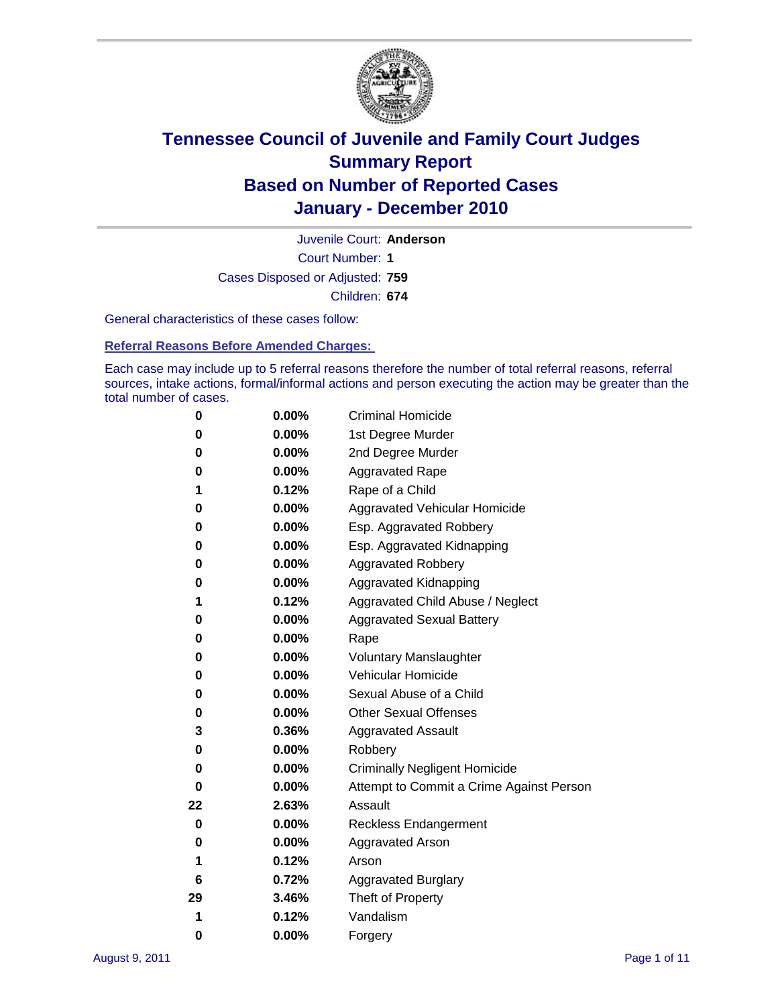

Court Number: **1** Juvenile Court: **Anderson** Cases Disposed or Adjusted: **759** Children: **674**

General characteristics of these cases follow:

**Referral Reasons Before Amended Charges:** 

Each case may include up to 5 referral reasons therefore the number of total referral reasons, referral sources, intake actions, formal/informal actions and person executing the action may be greater than the total number of cases.

| 0  | 0.00%    | <b>Criminal Homicide</b>                 |  |  |  |
|----|----------|------------------------------------------|--|--|--|
| 0  | 0.00%    | 1st Degree Murder                        |  |  |  |
| 0  | 0.00%    | 2nd Degree Murder                        |  |  |  |
| 0  | 0.00%    | <b>Aggravated Rape</b>                   |  |  |  |
| 1  | 0.12%    | Rape of a Child                          |  |  |  |
| 0  | 0.00%    | Aggravated Vehicular Homicide            |  |  |  |
| 0  | 0.00%    | Esp. Aggravated Robbery                  |  |  |  |
| 0  | 0.00%    | Esp. Aggravated Kidnapping               |  |  |  |
| 0  | 0.00%    | <b>Aggravated Robbery</b>                |  |  |  |
| 0  | 0.00%    | Aggravated Kidnapping                    |  |  |  |
| 1  | 0.12%    | Aggravated Child Abuse / Neglect         |  |  |  |
| 0  | 0.00%    | <b>Aggravated Sexual Battery</b>         |  |  |  |
| 0  | 0.00%    | Rape                                     |  |  |  |
| 0  | $0.00\%$ | <b>Voluntary Manslaughter</b>            |  |  |  |
| 0  | 0.00%    | Vehicular Homicide                       |  |  |  |
| 0  | 0.00%    | Sexual Abuse of a Child                  |  |  |  |
| 0  | 0.00%    | <b>Other Sexual Offenses</b>             |  |  |  |
| 3  | 0.36%    | <b>Aggravated Assault</b>                |  |  |  |
| 0  | $0.00\%$ | Robbery                                  |  |  |  |
| 0  | 0.00%    | <b>Criminally Negligent Homicide</b>     |  |  |  |
| 0  | 0.00%    | Attempt to Commit a Crime Against Person |  |  |  |
| 22 | 2.63%    | Assault                                  |  |  |  |
| 0  | 0.00%    | <b>Reckless Endangerment</b>             |  |  |  |
| 0  | 0.00%    | <b>Aggravated Arson</b>                  |  |  |  |
| 1  | 0.12%    | Arson                                    |  |  |  |
| 6  | 0.72%    | <b>Aggravated Burglary</b>               |  |  |  |
| 29 | 3.46%    | Theft of Property                        |  |  |  |
| 1  | 0.12%    | Vandalism                                |  |  |  |
| 0  | 0.00%    | Forgery                                  |  |  |  |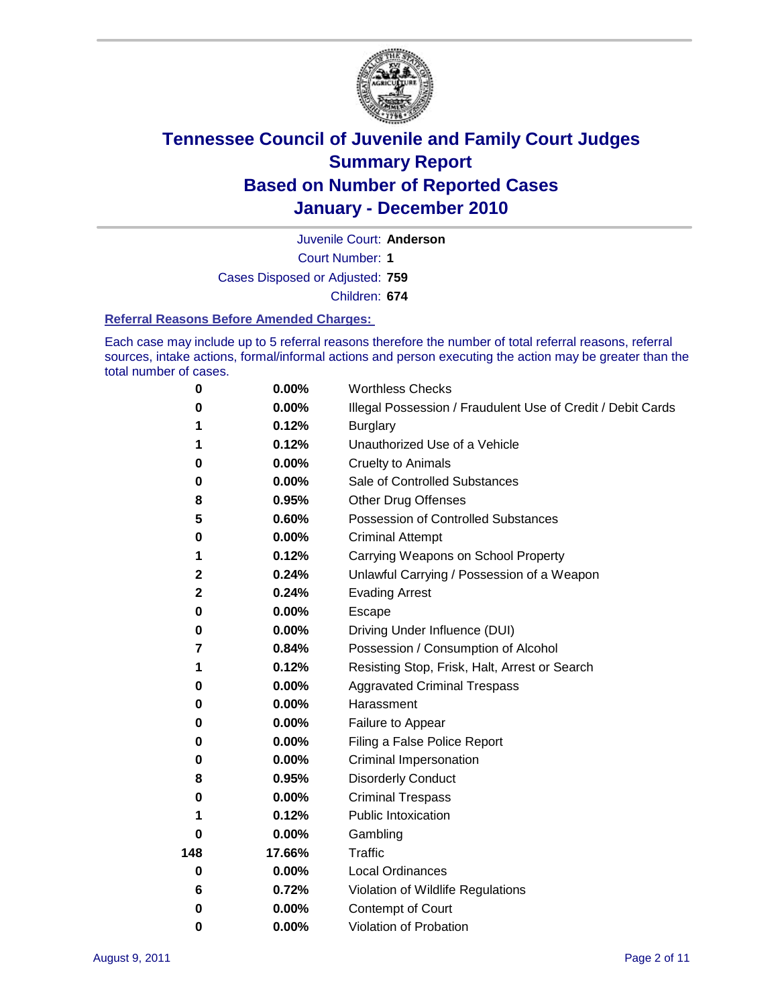

Juvenile Court: **Anderson**

Court Number: **1**

Cases Disposed or Adjusted: **759**

Children: **674**

#### **Referral Reasons Before Amended Charges:**

Each case may include up to 5 referral reasons therefore the number of total referral reasons, referral sources, intake actions, formal/informal actions and person executing the action may be greater than the total number of cases.

| $\pmb{0}$   | 0.00%    | <b>Worthless Checks</b>                                     |
|-------------|----------|-------------------------------------------------------------|
| 0           | 0.00%    | Illegal Possession / Fraudulent Use of Credit / Debit Cards |
| 1           | 0.12%    | <b>Burglary</b>                                             |
| 1           | 0.12%    | Unauthorized Use of a Vehicle                               |
| 0           | $0.00\%$ | <b>Cruelty to Animals</b>                                   |
| $\bf{0}$    | 0.00%    | Sale of Controlled Substances                               |
| 8           | 0.95%    | <b>Other Drug Offenses</b>                                  |
| 5           | 0.60%    | Possession of Controlled Substances                         |
| 0           | $0.00\%$ | <b>Criminal Attempt</b>                                     |
| 1           | 0.12%    | Carrying Weapons on School Property                         |
| $\mathbf 2$ | 0.24%    | Unlawful Carrying / Possession of a Weapon                  |
| $\mathbf 2$ | 0.24%    | <b>Evading Arrest</b>                                       |
| 0           | 0.00%    | Escape                                                      |
| 0           | $0.00\%$ | Driving Under Influence (DUI)                               |
| 7           | 0.84%    | Possession / Consumption of Alcohol                         |
| 1           | 0.12%    | Resisting Stop, Frisk, Halt, Arrest or Search               |
| 0           | $0.00\%$ | <b>Aggravated Criminal Trespass</b>                         |
| 0           | $0.00\%$ | Harassment                                                  |
| 0           | 0.00%    | Failure to Appear                                           |
| 0           | $0.00\%$ | Filing a False Police Report                                |
| 0           | 0.00%    | Criminal Impersonation                                      |
| 8           | 0.95%    | <b>Disorderly Conduct</b>                                   |
| 0           | $0.00\%$ | <b>Criminal Trespass</b>                                    |
| 1           | 0.12%    | <b>Public Intoxication</b>                                  |
| 0           | $0.00\%$ | Gambling                                                    |
| 148         | 17.66%   | Traffic                                                     |
| 0           | $0.00\%$ | <b>Local Ordinances</b>                                     |
| 6           | 0.72%    | Violation of Wildlife Regulations                           |
| 0           | $0.00\%$ | Contempt of Court                                           |
| 0           | 0.00%    | Violation of Probation                                      |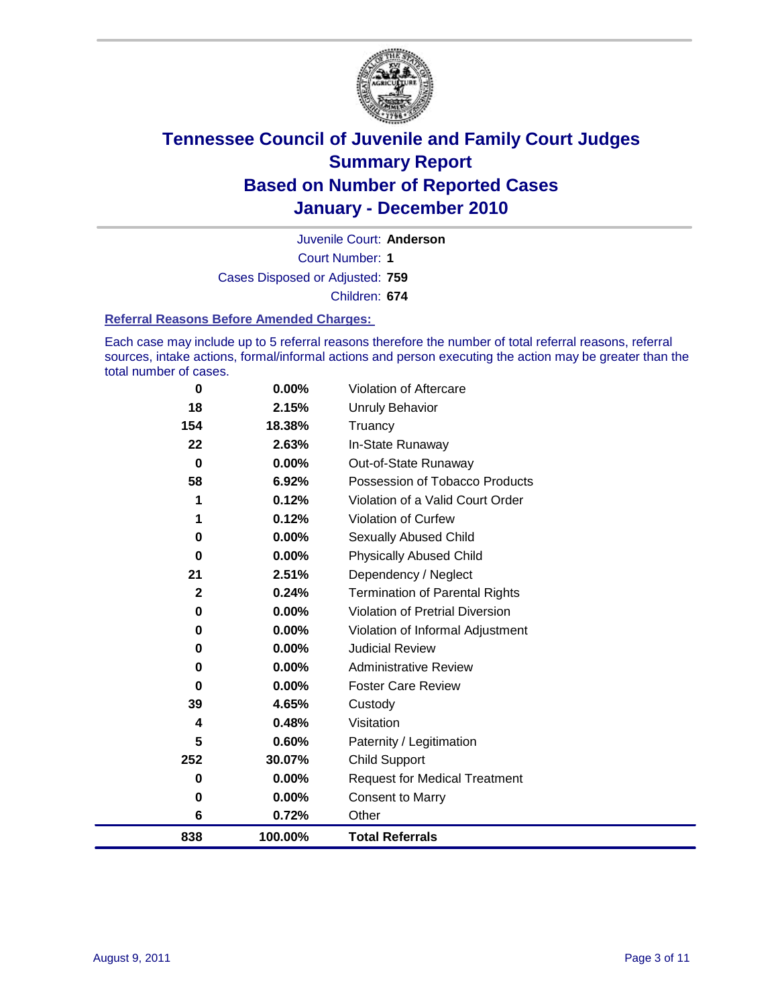

Court Number: **1** Juvenile Court: **Anderson**

Cases Disposed or Adjusted: **759**

Children: **674**

#### **Referral Reasons Before Amended Charges:**

Each case may include up to 5 referral reasons therefore the number of total referral reasons, referral sources, intake actions, formal/informal actions and person executing the action may be greater than the total number of cases.

| 0            | 0.00%    | Violation of Aftercare                 |
|--------------|----------|----------------------------------------|
| 18           | 2.15%    | <b>Unruly Behavior</b>                 |
| 154          | 18.38%   | Truancy                                |
| 22           | 2.63%    | In-State Runaway                       |
| $\bf{0}$     | 0.00%    | Out-of-State Runaway                   |
| 58           | 6.92%    | Possession of Tobacco Products         |
| 1            | 0.12%    | Violation of a Valid Court Order       |
| 1            | 0.12%    | <b>Violation of Curfew</b>             |
| 0            | 0.00%    | Sexually Abused Child                  |
| 0            | $0.00\%$ | <b>Physically Abused Child</b>         |
| 21           | 2.51%    | Dependency / Neglect                   |
| $\mathbf{2}$ | 0.24%    | <b>Termination of Parental Rights</b>  |
| 0            | 0.00%    | <b>Violation of Pretrial Diversion</b> |
| 0            | $0.00\%$ | Violation of Informal Adjustment       |
| 0            | 0.00%    | <b>Judicial Review</b>                 |
| 0            | $0.00\%$ | <b>Administrative Review</b>           |
| 0            | 0.00%    | <b>Foster Care Review</b>              |
| 39           | 4.65%    | Custody                                |
| 4            | 0.48%    | Visitation                             |
| 5            | 0.60%    | Paternity / Legitimation               |
| 252          | 30.07%   | <b>Child Support</b>                   |
| 0            | $0.00\%$ | <b>Request for Medical Treatment</b>   |
| 0            | 0.00%    | <b>Consent to Marry</b>                |
| 6            | 0.72%    | Other                                  |
| 838          | 100.00%  | <b>Total Referrals</b>                 |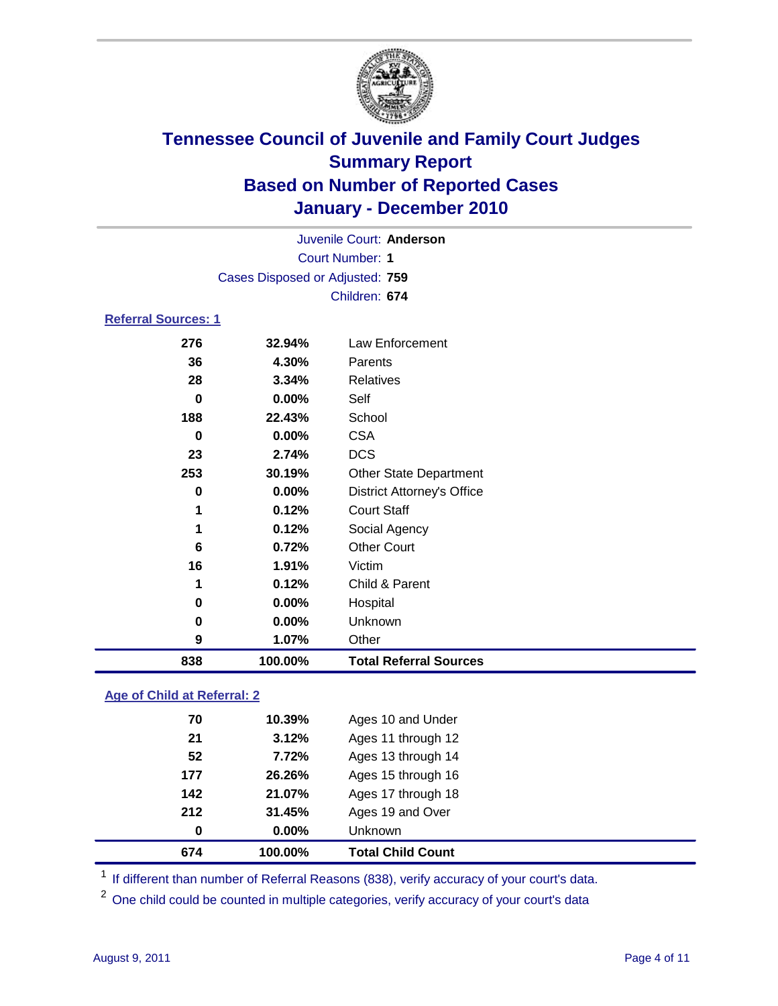

|                            | Juvenile Court: Anderson        |                                   |  |  |  |
|----------------------------|---------------------------------|-----------------------------------|--|--|--|
|                            | <b>Court Number: 1</b>          |                                   |  |  |  |
|                            | Cases Disposed or Adjusted: 759 |                                   |  |  |  |
|                            | Children: 674                   |                                   |  |  |  |
| <b>Referral Sources: 1</b> |                                 |                                   |  |  |  |
| 276                        | 32.94%                          | Law Enforcement                   |  |  |  |
| 36                         | 4.30%                           | Parents                           |  |  |  |
| 28                         | 3.34%                           | Relatives                         |  |  |  |
| 0                          | 0.00%                           | Self                              |  |  |  |
| 188                        | 22.43%                          | School                            |  |  |  |
| $\bf{0}$                   | 0.00%                           | <b>CSA</b>                        |  |  |  |
| 23                         | 2.74%                           | <b>DCS</b>                        |  |  |  |
| 253                        | 30.19%                          | <b>Other State Department</b>     |  |  |  |
| 0                          | 0.00%                           | <b>District Attorney's Office</b> |  |  |  |
| 1                          | 0.12%                           | <b>Court Staff</b>                |  |  |  |
| 1                          | 0.12%                           | Social Agency                     |  |  |  |
| 6                          | 0.72%                           | <b>Other Court</b>                |  |  |  |
| 16                         | 1.91%                           | Victim                            |  |  |  |
| 1                          | 0.12%                           | Child & Parent                    |  |  |  |
| 0                          | 0.00%                           | Hospital                          |  |  |  |
| 0                          | 0.00%                           | Unknown                           |  |  |  |
| 9                          | 1.07%                           | Other                             |  |  |  |
| 838                        | 100.00%                         | <b>Total Referral Sources</b>     |  |  |  |

### **Age of Child at Referral: 2**

| 674 | 100.00%  | <b>Total Child Count</b> |
|-----|----------|--------------------------|
| 0   | $0.00\%$ | Unknown                  |
| 212 | 31.45%   | Ages 19 and Over         |
| 142 | 21.07%   | Ages 17 through 18       |
| 177 | 26.26%   | Ages 15 through 16       |
| 52  | 7.72%    | Ages 13 through 14       |
| 21  | 3.12%    | Ages 11 through 12       |
| 70  | 10.39%   | Ages 10 and Under        |
|     |          |                          |

<sup>1</sup> If different than number of Referral Reasons (838), verify accuracy of your court's data.

<sup>2</sup> One child could be counted in multiple categories, verify accuracy of your court's data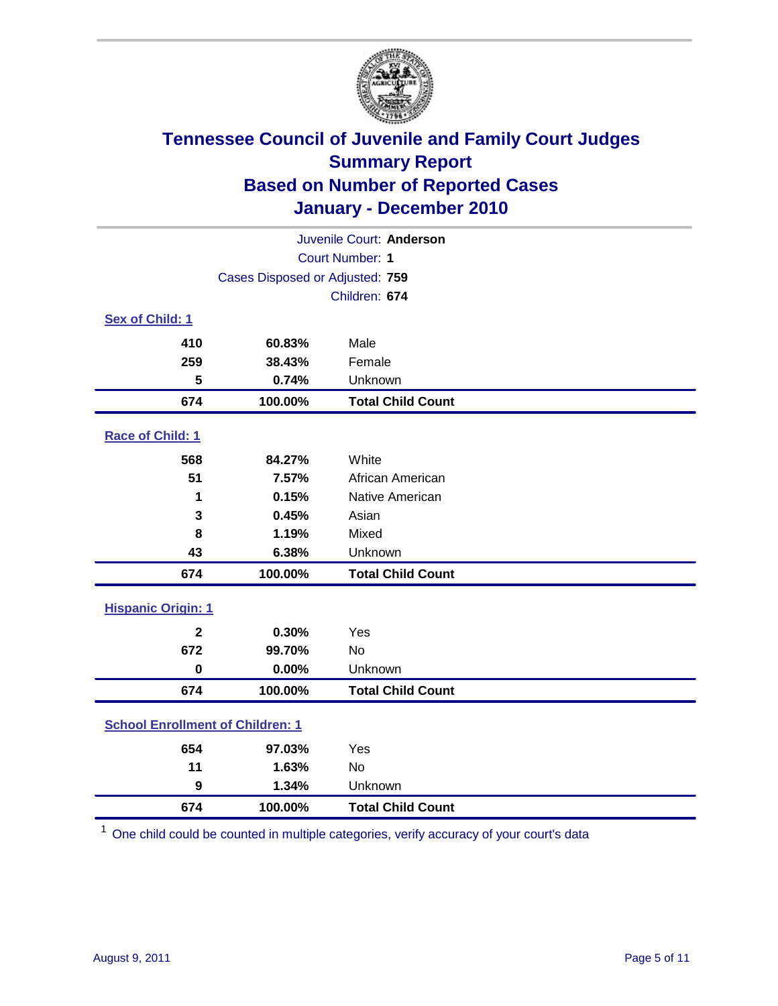

| Juvenile Court: Anderson                |                                 |                          |  |  |
|-----------------------------------------|---------------------------------|--------------------------|--|--|
|                                         | <b>Court Number: 1</b>          |                          |  |  |
|                                         | Cases Disposed or Adjusted: 759 |                          |  |  |
|                                         | Children: 674                   |                          |  |  |
| Sex of Child: 1                         |                                 |                          |  |  |
| 410                                     | 60.83%                          | Male                     |  |  |
| 259                                     | 38.43%                          | Female                   |  |  |
| 5                                       | 0.74%                           | Unknown                  |  |  |
| 674                                     | 100.00%                         | <b>Total Child Count</b> |  |  |
| Race of Child: 1                        |                                 |                          |  |  |
| 568                                     | 84.27%                          | White                    |  |  |
| 51                                      | 7.57%                           | African American         |  |  |
| 1                                       | 0.15%                           | Native American          |  |  |
| 3                                       | 0.45%                           | Asian                    |  |  |
| 8                                       | 1.19%                           | Mixed                    |  |  |
| 43                                      | 6.38%                           | Unknown                  |  |  |
| 674                                     | 100.00%                         | <b>Total Child Count</b> |  |  |
| <b>Hispanic Origin: 1</b>               |                                 |                          |  |  |
| $\mathbf{2}$                            | 0.30%                           | Yes                      |  |  |
| 672                                     | 99.70%                          | <b>No</b>                |  |  |
| $\mathbf 0$                             | 0.00%                           | Unknown                  |  |  |
| 674                                     | 100.00%                         | <b>Total Child Count</b> |  |  |
| <b>School Enrollment of Children: 1</b> |                                 |                          |  |  |
| 654                                     | 97.03%                          | Yes                      |  |  |
| 11                                      | 1.63%                           | No                       |  |  |
| $\boldsymbol{9}$                        | 1.34%                           | Unknown                  |  |  |
| 674                                     | 100.00%                         | <b>Total Child Count</b> |  |  |

One child could be counted in multiple categories, verify accuracy of your court's data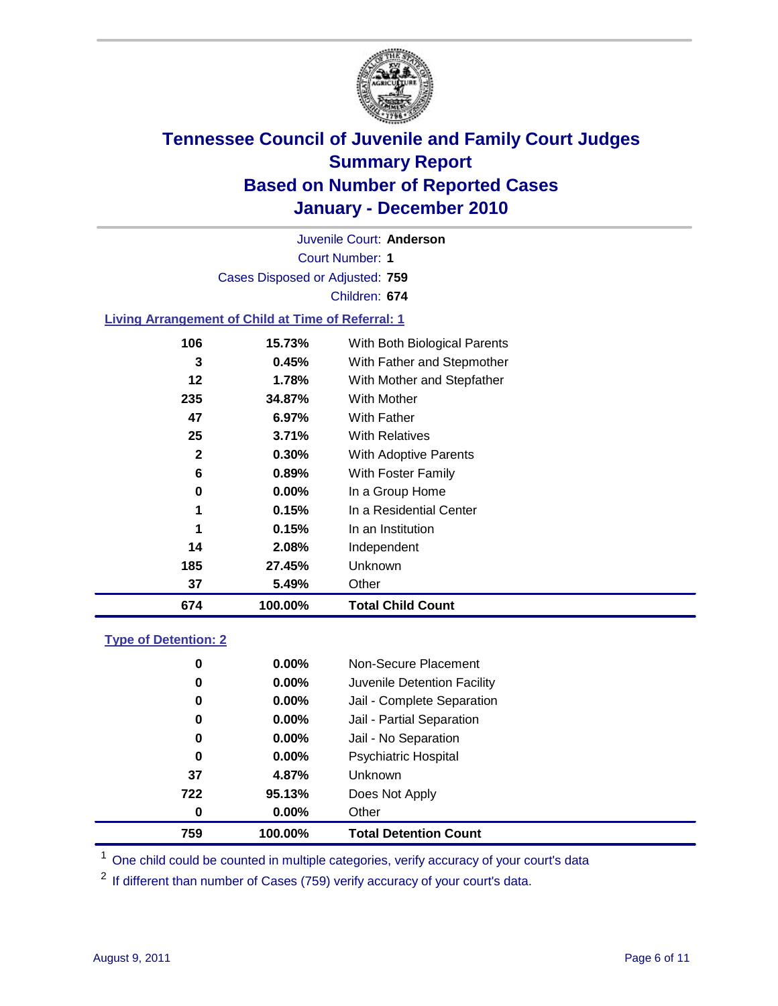

Court Number: **1** Juvenile Court: **Anderson** Cases Disposed or Adjusted: **759** Children: **674**

#### **Living Arrangement of Child at Time of Referral: 1**

| 674 | 100.00%  | <b>Total Child Count</b>     |
|-----|----------|------------------------------|
| 37  | 5.49%    | Other                        |
| 185 | 27.45%   | Unknown                      |
| 14  | 2.08%    | Independent                  |
| 1   | 0.15%    | In an Institution            |
| 1   | 0.15%    | In a Residential Center      |
| 0   | $0.00\%$ | In a Group Home              |
| 6   | 0.89%    | With Foster Family           |
| 2   | 0.30%    | With Adoptive Parents        |
| 25  | 3.71%    | <b>With Relatives</b>        |
| 47  | 6.97%    | With Father                  |
| 235 | 34.87%   | <b>With Mother</b>           |
| 12  | 1.78%    | With Mother and Stepfather   |
| 3   | 0.45%    | With Father and Stepmother   |
| 106 | 15.73%   | With Both Biological Parents |
|     |          |                              |

#### **Type of Detention: 2**

| 759 | 100.00%  | <b>Total Detention Count</b> |  |
|-----|----------|------------------------------|--|
| 0   | 0.00%    | Other                        |  |
| 722 | 95.13%   | Does Not Apply               |  |
| 37  | 4.87%    | Unknown                      |  |
| 0   | $0.00\%$ | Psychiatric Hospital         |  |
| 0   | 0.00%    | Jail - No Separation         |  |
| 0   | $0.00\%$ | Jail - Partial Separation    |  |
| 0   | 0.00%    | Jail - Complete Separation   |  |
| 0   | 0.00%    | Juvenile Detention Facility  |  |
| 0   | $0.00\%$ | Non-Secure Placement         |  |
|     |          |                              |  |

<sup>1</sup> One child could be counted in multiple categories, verify accuracy of your court's data

<sup>2</sup> If different than number of Cases (759) verify accuracy of your court's data.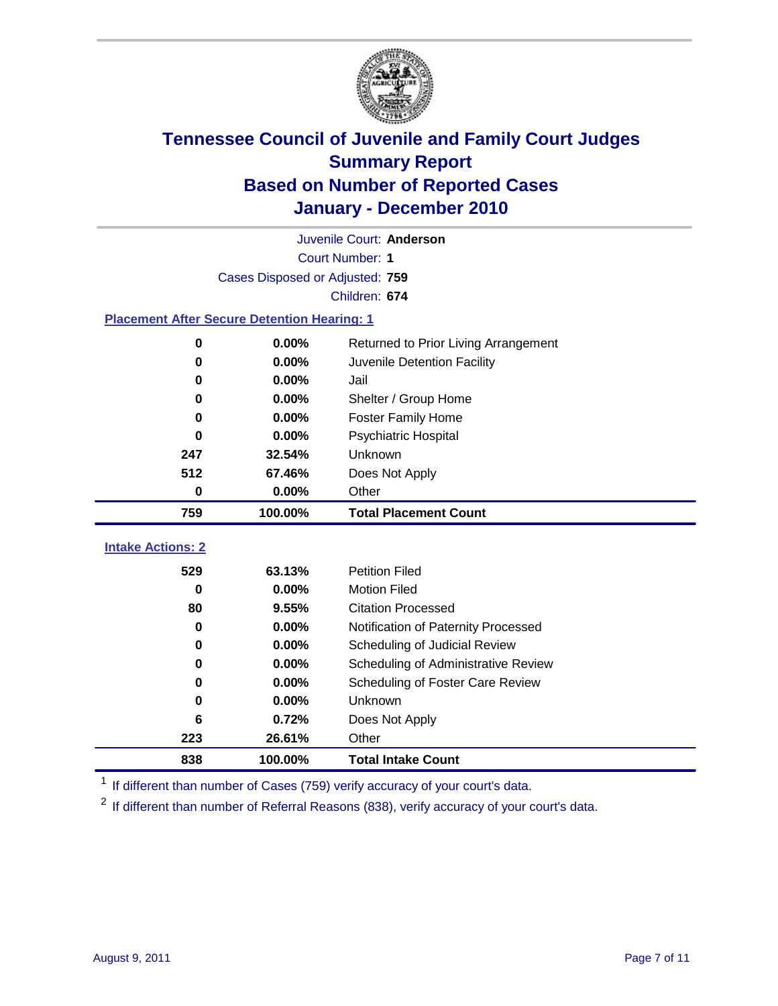

|                                                    | Juvenile Court: Anderson        |                                      |  |  |  |
|----------------------------------------------------|---------------------------------|--------------------------------------|--|--|--|
|                                                    | Court Number: 1                 |                                      |  |  |  |
|                                                    | Cases Disposed or Adjusted: 759 |                                      |  |  |  |
|                                                    |                                 | Children: 674                        |  |  |  |
| <b>Placement After Secure Detention Hearing: 1</b> |                                 |                                      |  |  |  |
| 0                                                  | 0.00%                           | Returned to Prior Living Arrangement |  |  |  |
| $\bf{0}$                                           | 0.00%                           | Juvenile Detention Facility          |  |  |  |
| $\bf{0}$                                           | 0.00%                           | Jail                                 |  |  |  |
| 0                                                  | 0.00%                           | Shelter / Group Home                 |  |  |  |
| 0                                                  | 0.00%                           | <b>Foster Family Home</b>            |  |  |  |
| $\bf{0}$                                           | 0.00%                           | <b>Psychiatric Hospital</b>          |  |  |  |
| 247                                                | 32.54%                          | Unknown                              |  |  |  |
| 512                                                | 67.46%                          | Does Not Apply                       |  |  |  |
| 0                                                  | 0.00%                           | Other                                |  |  |  |
| 759                                                | 100.00%                         | <b>Total Placement Count</b>         |  |  |  |
|                                                    |                                 |                                      |  |  |  |
| <b>Intake Actions: 2</b>                           |                                 |                                      |  |  |  |
| 529                                                | 63.13%                          | <b>Petition Filed</b>                |  |  |  |
| $\bf{0}$                                           | 0.00%                           | <b>Motion Filed</b>                  |  |  |  |
| 80                                                 | 9.55%                           | <b>Citation Processed</b>            |  |  |  |
| 0                                                  | 0.00%                           | Notification of Paternity Processed  |  |  |  |
| 0                                                  | 0.00%                           | Scheduling of Judicial Review        |  |  |  |
| 0                                                  | 0.00%                           | Scheduling of Administrative Review  |  |  |  |
| 0                                                  | 0.00%                           | Scheduling of Foster Care Review     |  |  |  |
| $\bf{0}$                                           | 0.00%                           | Unknown                              |  |  |  |
| 6                                                  | 0.72%                           | Does Not Apply                       |  |  |  |
| 223                                                | 26.61%                          | Other                                |  |  |  |

<sup>1</sup> If different than number of Cases (759) verify accuracy of your court's data.

<sup>2</sup> If different than number of Referral Reasons (838), verify accuracy of your court's data.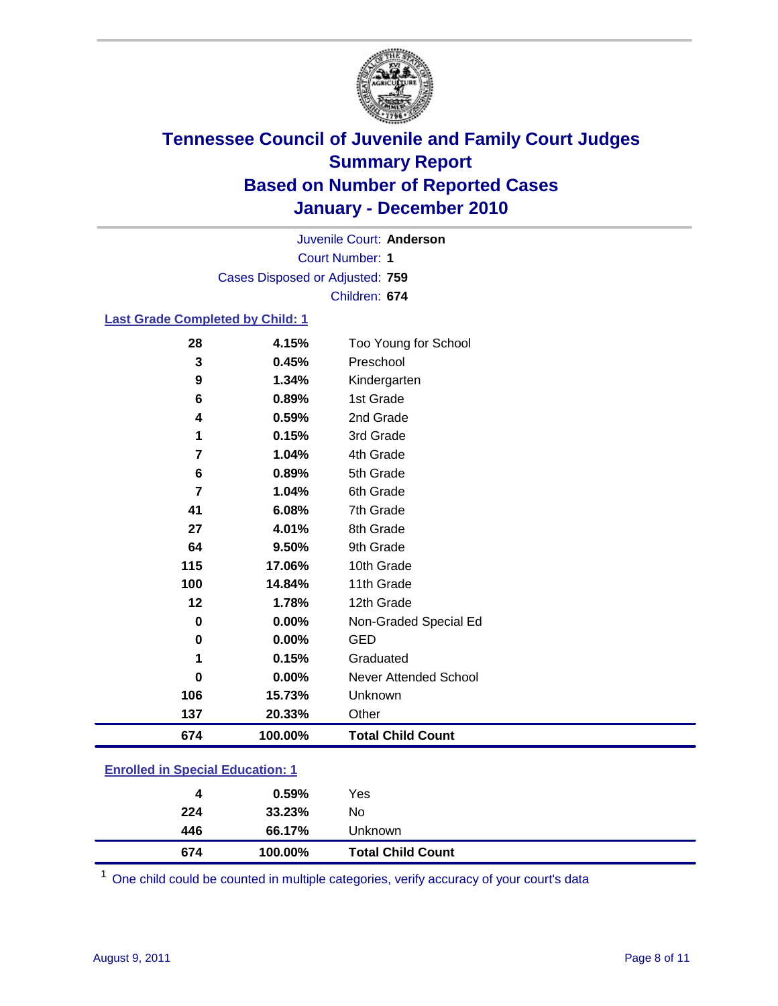

Court Number: **1** Juvenile Court: **Anderson** Cases Disposed or Adjusted: **759** Children: **674**

#### **Last Grade Completed by Child: 1**

| 674 | 100.00% | <b>Total Child Count</b> |
|-----|---------|--------------------------|
| 137 | 20.33%  | Other                    |
| 106 | 15.73%  | Unknown                  |
| 0   | 0.00%   | Never Attended School    |
| 1   | 0.15%   | Graduated                |
| 0   | 0.00%   | <b>GED</b>               |
| 0   | 0.00%   | Non-Graded Special Ed    |
| 12  | 1.78%   | 12th Grade               |
| 100 | 14.84%  | 11th Grade               |
| 115 | 17.06%  | 10th Grade               |
| 64  | 9.50%   | 9th Grade                |
| 27  | 4.01%   | 8th Grade                |
| 41  | 6.08%   | 7th Grade                |
| 7   | 1.04%   | 6th Grade                |
| 6   | 0.89%   | 5th Grade                |
| 7   | 1.04%   | 4th Grade                |
| 1   | 0.15%   | 3rd Grade                |
| 4   | 0.59%   | 2nd Grade                |
| 6   | 0.89%   | 1st Grade                |
| 9   | 1.34%   | Kindergarten             |
| 3   | 0.45%   | Preschool                |
| 28  | 4.15%   | Too Young for School     |

### **Enrolled in Special Education: 1**

| 4   | 0.59%   | Yes                      |
|-----|---------|--------------------------|
| 224 | 33.23%  | No                       |
| 446 | 66.17%  | Unknown                  |
| 674 | 100.00% | <b>Total Child Count</b> |

One child could be counted in multiple categories, verify accuracy of your court's data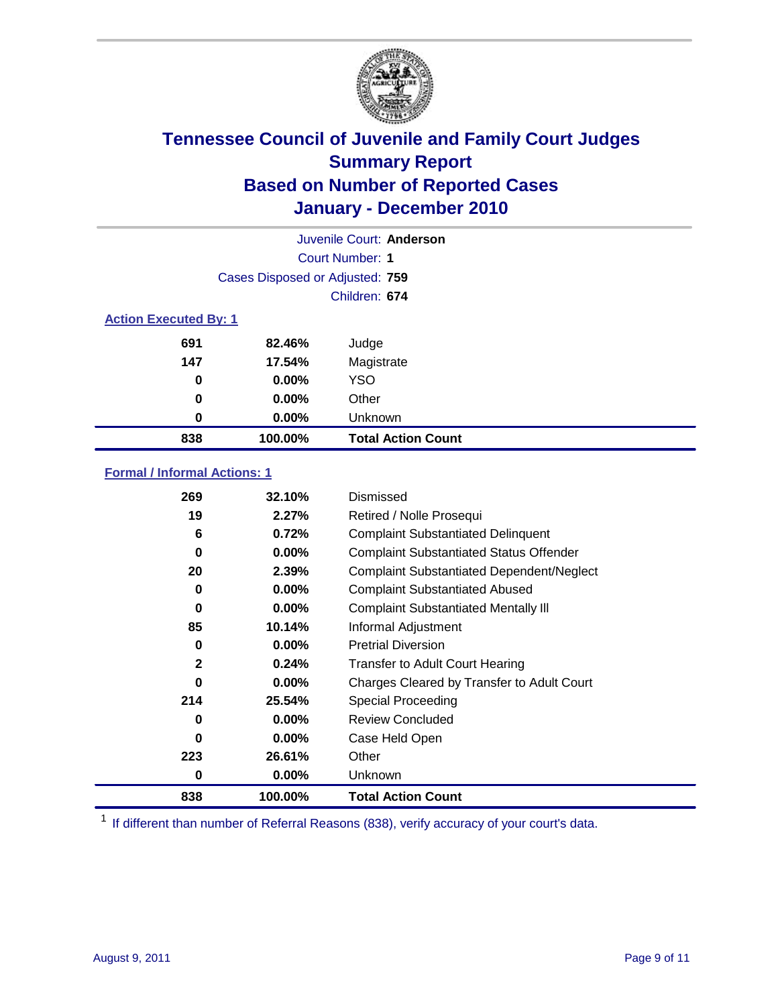

| Juvenile Court: Anderson     |                                 |                           |  |  |
|------------------------------|---------------------------------|---------------------------|--|--|
|                              | Court Number: 1                 |                           |  |  |
|                              | Cases Disposed or Adjusted: 759 |                           |  |  |
|                              | Children: 674                   |                           |  |  |
| <b>Action Executed By: 1</b> |                                 |                           |  |  |
| 691                          | 82.46%                          | Judge                     |  |  |
| 147                          | 17.54%                          | Magistrate                |  |  |
| 0                            | $0.00\%$                        | <b>YSO</b>                |  |  |
| $\bf{0}$                     | $0.00\%$                        | Other                     |  |  |
| 0                            | 0.00%                           | Unknown                   |  |  |
| 838                          | 100.00%                         | <b>Total Action Count</b> |  |  |

### **Formal / Informal Actions: 1**

| 269          | 32.10%   | Dismissed                                        |
|--------------|----------|--------------------------------------------------|
| 19           | 2.27%    | Retired / Nolle Prosequi                         |
| 6            | 0.72%    | <b>Complaint Substantiated Delinquent</b>        |
| $\bf{0}$     | $0.00\%$ | <b>Complaint Substantiated Status Offender</b>   |
| 20           | 2.39%    | <b>Complaint Substantiated Dependent/Neglect</b> |
| 0            | $0.00\%$ | <b>Complaint Substantiated Abused</b>            |
| $\bf{0}$     | $0.00\%$ | <b>Complaint Substantiated Mentally III</b>      |
| 85           | 10.14%   | Informal Adjustment                              |
| 0            | $0.00\%$ | <b>Pretrial Diversion</b>                        |
| $\mathbf{2}$ | 0.24%    | <b>Transfer to Adult Court Hearing</b>           |
| 0            | $0.00\%$ | Charges Cleared by Transfer to Adult Court       |
| 214          | 25.54%   | Special Proceeding                               |
| 0            | $0.00\%$ | <b>Review Concluded</b>                          |
| $\bf{0}$     | $0.00\%$ | Case Held Open                                   |
| 223          | 26.61%   | Other                                            |
| 0            | $0.00\%$ | Unknown                                          |
| 838          | 100.00%  | <b>Total Action Count</b>                        |

<sup>1</sup> If different than number of Referral Reasons (838), verify accuracy of your court's data.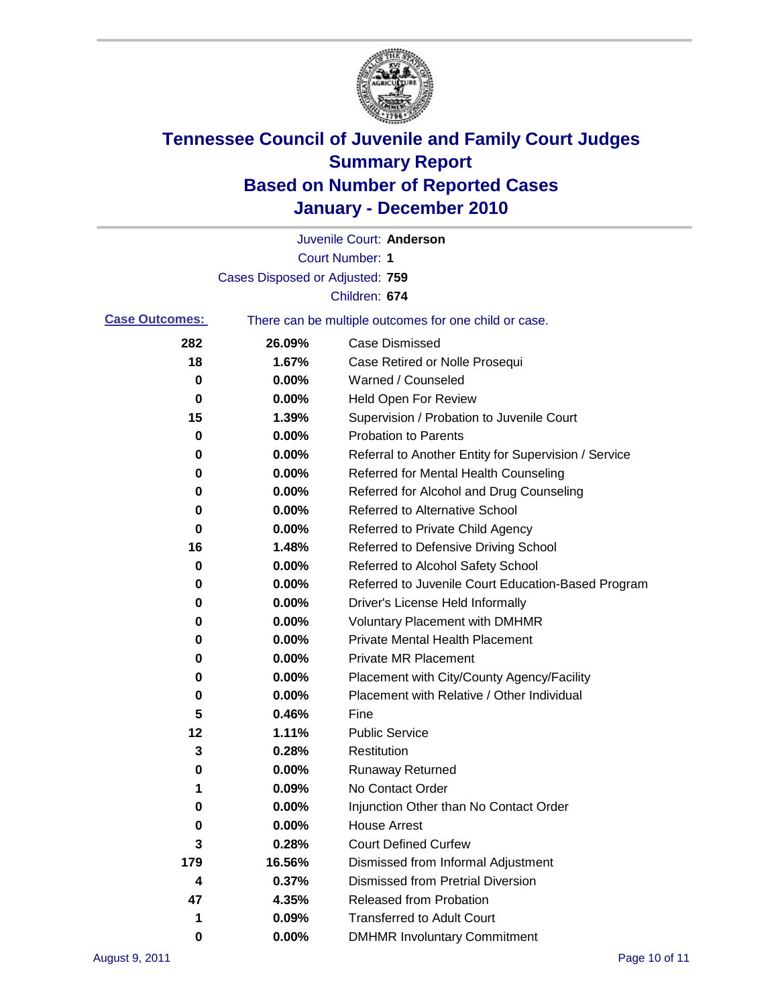

|                       |                                 | Juvenile Court: Anderson                              |
|-----------------------|---------------------------------|-------------------------------------------------------|
|                       |                                 | <b>Court Number: 1</b>                                |
|                       | Cases Disposed or Adjusted: 759 |                                                       |
|                       |                                 | Children: 674                                         |
| <b>Case Outcomes:</b> |                                 | There can be multiple outcomes for one child or case. |
| 282                   | 26.09%                          | <b>Case Dismissed</b>                                 |
| 18                    | 1.67%                           | Case Retired or Nolle Prosequi                        |
| 0                     | 0.00%                           | Warned / Counseled                                    |
| $\pmb{0}$             | 0.00%                           | Held Open For Review                                  |
| 15                    | 1.39%                           | Supervision / Probation to Juvenile Court             |
| 0                     | 0.00%                           | <b>Probation to Parents</b>                           |
| 0                     | 0.00%                           | Referral to Another Entity for Supervision / Service  |
| 0                     | 0.00%                           | Referred for Mental Health Counseling                 |
| 0                     | 0.00%                           | Referred for Alcohol and Drug Counseling              |
| 0                     | 0.00%                           | <b>Referred to Alternative School</b>                 |
| 0                     | 0.00%                           | Referred to Private Child Agency                      |
| 16                    | 1.48%                           | Referred to Defensive Driving School                  |
| 0                     | 0.00%                           | Referred to Alcohol Safety School                     |
| 0                     | 0.00%                           | Referred to Juvenile Court Education-Based Program    |
| 0                     | 0.00%                           | Driver's License Held Informally                      |
| 0                     | 0.00%                           | <b>Voluntary Placement with DMHMR</b>                 |
| 0                     | 0.00%                           | <b>Private Mental Health Placement</b>                |
| 0                     | 0.00%                           | <b>Private MR Placement</b>                           |
| 0                     | 0.00%                           | Placement with City/County Agency/Facility            |
| 0                     | 0.00%                           | Placement with Relative / Other Individual            |
| 5                     | 0.46%                           | Fine                                                  |
| 12                    | 1.11%                           | <b>Public Service</b>                                 |
| 3                     | 0.28%                           | Restitution                                           |
| 0                     | 0.00%                           | <b>Runaway Returned</b>                               |
| 1                     | 0.09%                           | No Contact Order                                      |
| $\pmb{0}$             | 0.00%                           | Injunction Other than No Contact Order                |
| 0                     | 0.00%                           | <b>House Arrest</b>                                   |
| 3                     | 0.28%                           | <b>Court Defined Curfew</b>                           |
| 179                   | 16.56%                          | Dismissed from Informal Adjustment                    |
| 4                     | 0.37%                           | <b>Dismissed from Pretrial Diversion</b>              |
| 47                    | 4.35%                           | Released from Probation                               |
| 1                     | 0.09%                           | <b>Transferred to Adult Court</b>                     |
| 0                     | 0.00%                           | <b>DMHMR Involuntary Commitment</b>                   |